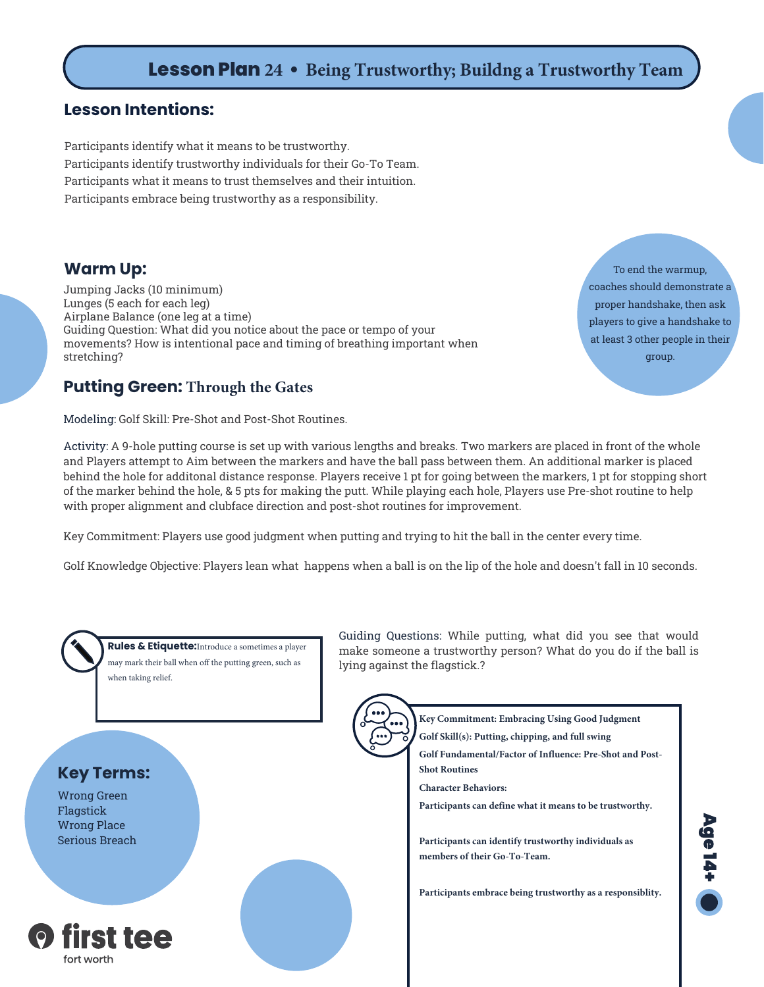# **Lesson Plan 24 • Being Trustworthy; Buildng a Trustworthy Team**

### **Lesson Intentions:**

Participants identify what it means to be trustworthy. Participants identify trustworthy individuals for their Go-To Team. Participants what it means to trust themselves and their intuition. Participants embrace being trustworthy as a responsibility.

### **Warm Up:**

Jumping Jacks (10 minimum) Lunges (5 each for each leg) Airplane Balance (one leg at a time) Guiding Question: What did you notice about the pace or tempo of your movements? How is intentional pace and timing of breathing important when stretching?

**Putting Green: Through the Gates**

Modeling: Golf Skill: Pre-Shot and Post-Shot Routines.

Activity: A 9-hole putting course is set up with various lengths and breaks. Two markers are placed in front of the whole and Players attempt to Aim between the markers and have the ball pass between them. An additional marker is placed behind the hole for additonal distance response. Players receive 1 pt for going between the markers, 1 pt for stopping short of the marker behind the hole, & 5 pts for making the putt. While playing each hole, Players use Pre-shot routine to help with proper alignment and clubface direction and post-shot routines for improvement.

Key Commitment: Players use good judgment when putting and trying to hit the ball in the center every time.

Golf Knowledge Objective: Players lean what happens when a ball is on the lip of the hole and doesn't fall in 10 seconds.



**Key Terms:** Wrong Green Flagstick Wrong Place Serious Breach

**O** first tee

fort worth

**Rules & Etiquette:**Introduce a sometimes a player may mark their ball when off the putting green, such as when taking relief.

Guiding Questions: While putting, what did you see that would make someone a trustworthy person? What do you do if the ball is lying against the flagstick.?



**Key Commitment: Embracing Using Good Judgment**

**Golf Skill(s): Putting, chipping, and full swing**

**Golf Fundamental/Factor of Influence: Pre-Shot and Post-Shot Routines**

**Character Behaviors:** 

**Participants can define what it means to be trustworthy.**

**Participants can identify trustworthy individuals as members of their Go-To-Team.**

**Participants embrace being trustworthy as a responsiblity.**



**Age14+**